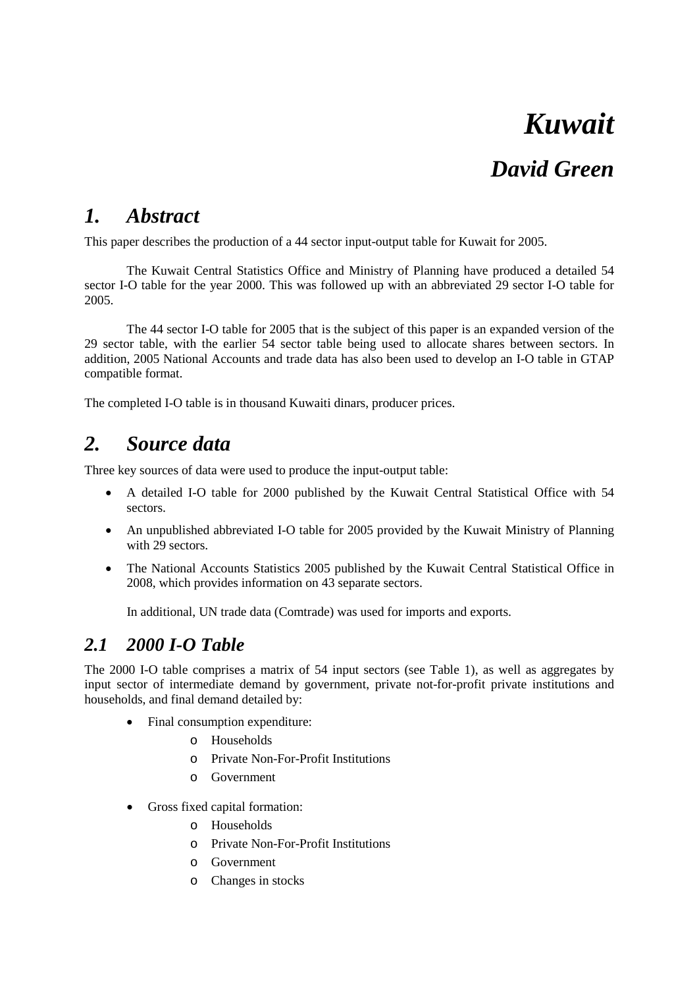# *Kuwait*

# *David Green*

### *1. Abstract*

This paper describes the production of a 44 sector input-output table for Kuwait for 2005.

The Kuwait Central Statistics Office and Ministry of Planning have produced a detailed 54 sector I-O table for the year 2000. This was followed up with an abbreviated 29 sector I-O table for 2005.

The 44 sector I-O table for 2005 that is the subject of this paper is an expanded version of the 29 sector table, with the earlier 54 sector table being used to allocate shares between sectors. In addition, 2005 National Accounts and trade data has also been used to develop an I-O table in GTAP compatible format.

The completed I-O table is in thousand Kuwaiti dinars, producer prices.

## *2. Source data*

Three key sources of data were used to produce the input-output table:

- A detailed I-O table for 2000 published by the Kuwait Central Statistical Office with 54 sectors.
- An unpublished abbreviated I-O table for 2005 provided by the Kuwait Ministry of Planning with 29 sectors.
- The National Accounts Statistics 2005 published by the Kuwait Central Statistical Office in 2008, which provides information on 43 separate sectors.

In additional, UN trade data (Comtrade) was used for imports and exports.

### *2.1 2000 I-O Table*

The 2000 I-O table comprises a matrix of 54 input sectors (see [Table 1\)](#page-7-0), as well as aggregates by input sector of intermediate demand by government, private not-for-profit private institutions and households, and final demand detailed by:

- Final consumption expenditure:
	- o Households
	- o Private Non-For-Profit Institutions
	- o Government
- Gross fixed capital formation:
	- o Households
	- o Private Non-For-Profit Institutions
	- o Government
	- o Changes in stocks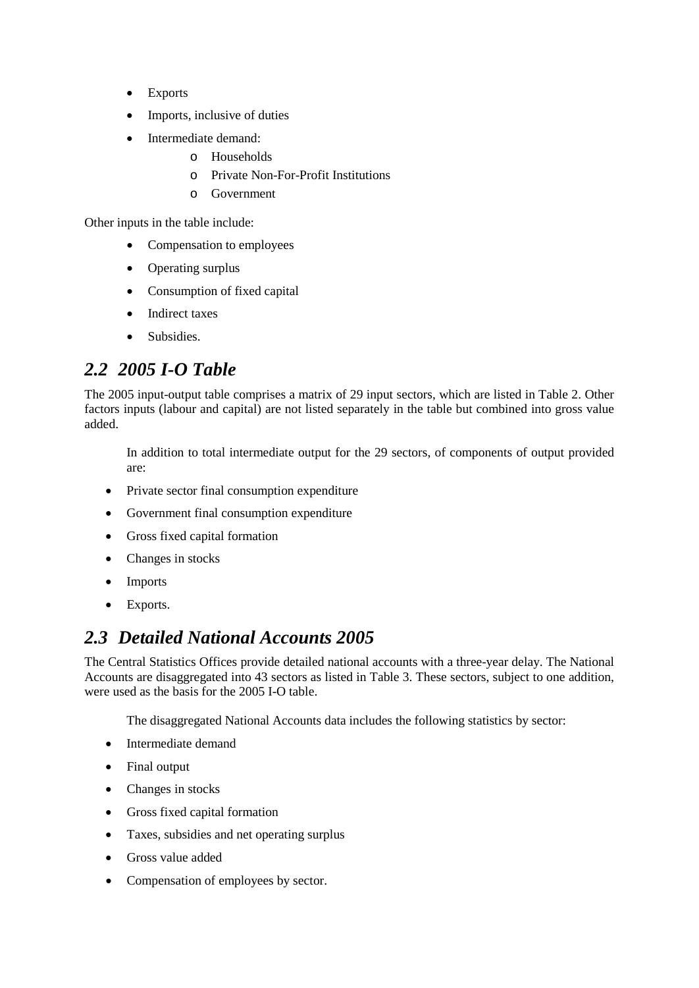- Exports
- Imports, inclusive of duties
- Intermediate demand:
	- o Households
		- o Private Non-For-Profit Institutions
		- o Government

Other inputs in the table include:

- Compensation to employees
- Operating surplus
- Consumption of fixed capital
- Indirect taxes
- Subsidies.

### *2.2 2005 I-O Table*

The 2005 input-output table comprises a matrix of 29 input sectors, which are listed in [Table 2.](#page-8-0) Other factors inputs (labour and capital) are not listed separately in the table but combined into gross value added.

In addition to total intermediate output for the 29 sectors, of components of output provided are:

- Private sector final consumption expenditure
- Government final consumption expenditure
- Gross fixed capital formation
- Changes in stocks
- Imports
- Exports.

### *2.3 Detailed National Accounts 2005*

The Central Statistics Offices provide detailed national accounts with a three-year delay. The National Accounts are disaggregated into 43 sectors as listed in [Table 3.](#page-8-1) These sectors, subject to one addition, were used as the basis for the 2005 I-O table.

The disaggregated National Accounts data includes the following statistics by sector:

- Intermediate demand
- Final output
- Changes in stocks
- Gross fixed capital formation
- Taxes, subsidies and net operating surplus
- Gross value added
- Compensation of employees by sector.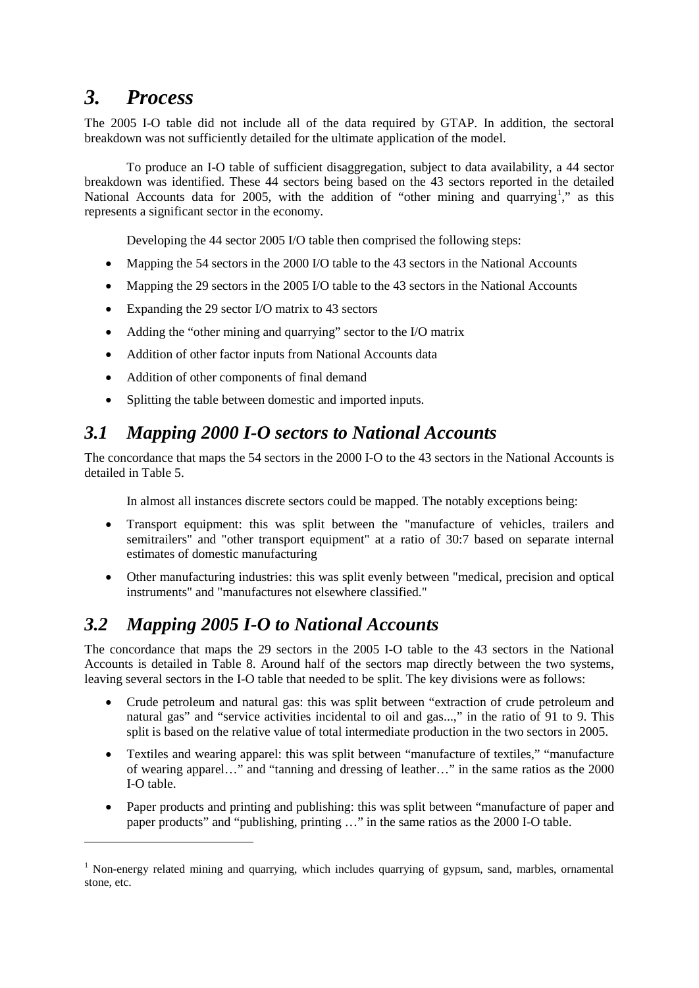## *3. Process*

<u>.</u>

The 2005 I-O table did not include all of the data required by GTAP. In addition, the sectoral breakdown was not sufficiently detailed for the ultimate application of the model.

To produce an I-O table of sufficient disaggregation, subject to data availability, a 44 sector breakdown was identified. These 44 sectors being based on the 43 sectors reported in the detailed National Accounts data for 2005, with the addition of "other mining and quarrying<sup>[1](#page-2-0)</sup>," as this represents a significant sector in the economy.

Developing the 44 sector 2005 I/O table then comprised the following steps:

- Mapping the 54 sectors in the 2000 I/O table to the 43 sectors in the National Accounts
- Mapping the 29 sectors in the 2005 I/O table to the 43 sectors in the National Accounts
- Expanding the 29 sector I/O matrix to 43 sectors
- Adding the "other mining and quarrying" sector to the I/O matrix
- Addition of other factor inputs from National Accounts data
- Addition of other components of final demand
- Splitting the table between domestic and imported inputs.

#### *3.1 Mapping 2000 I-O sectors to National Accounts*

The concordance that maps the 54 sectors in the 2000 I-O to the 43 sectors in the National Accounts is detailed in [Table 5.](#page-10-0)

In almost all instances discrete sectors could be mapped. The notably exceptions being:

- Transport equipment: this was split between the "manufacture of vehicles, trailers and semitrailers" and "other transport equipment" at a ratio of 30:7 based on separate internal estimates of domestic manufacturing
- Other manufacturing industries: this was split evenly between "medical, precision and optical instruments" and "manufactures not elsewhere classified."

### *3.2 Mapping 2005 I-O to National Accounts*

The concordance that maps the 29 sectors in the 2005 I-O table to the 43 sectors in the National Accounts is detailed in [Table 8.](#page-15-0) Around half of the sectors map directly between the two systems, leaving several sectors in the I-O table that needed to be split. The key divisions were as follows:

- Crude petroleum and natural gas: this was split between "extraction of crude petroleum and natural gas" and "service activities incidental to oil and gas...," in the ratio of 91 to 9. This split is based on the relative value of total intermediate production in the two sectors in 2005.
- Textiles and wearing apparel: this was split between "manufacture of textiles," "manufacture of wearing apparel…" and "tanning and dressing of leather…" in the same ratios as the 2000 I-O table.
- Paper products and printing and publishing: this was split between "manufacture of paper and paper products" and "publishing, printing …" in the same ratios as the 2000 I-O table.

<span id="page-2-0"></span><sup>&</sup>lt;sup>1</sup> Non-energy related mining and quarrying, which includes quarrying of gypsum, sand, marbles, ornamental stone, etc.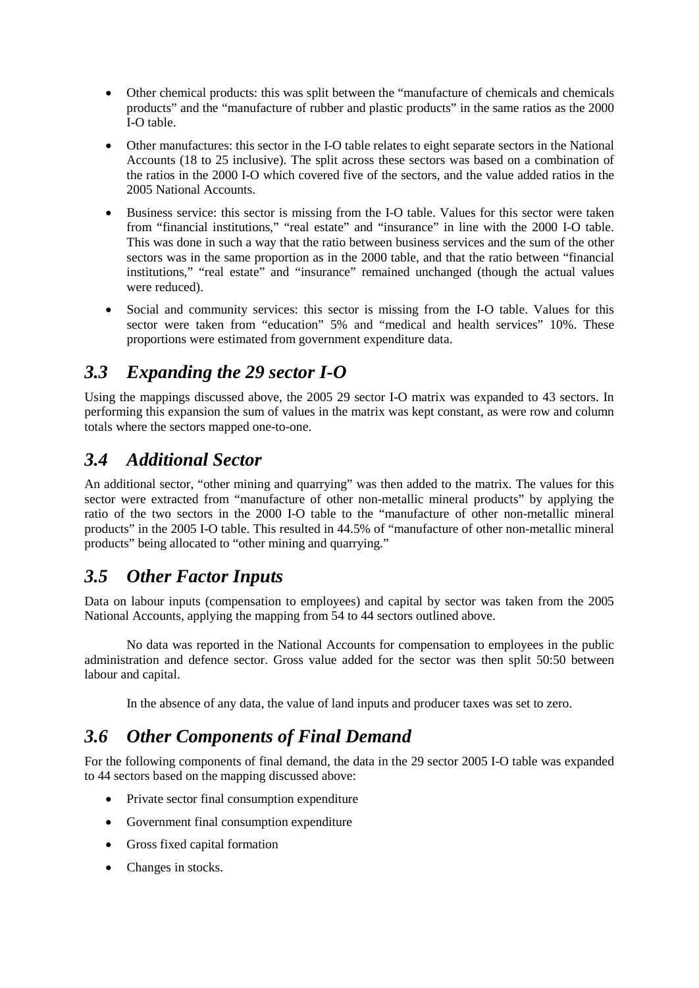- Other chemical products: this was split between the "manufacture of chemicals and chemicals products" and the "manufacture of rubber and plastic products" in the same ratios as the 2000 I-O table.
- Other manufactures: this sector in the I-O table relates to eight separate sectors in the National Accounts (18 to 25 inclusive). The split across these sectors was based on a combination of the ratios in the 2000 I-O which covered five of the sectors, and the value added ratios in the 2005 National Accounts.
- Business service: this sector is missing from the I-O table. Values for this sector were taken from "financial institutions," "real estate" and "insurance" in line with the 2000 I-O table. This was done in such a way that the ratio between business services and the sum of the other sectors was in the same proportion as in the 2000 table, and that the ratio between "financial institutions," "real estate" and "insurance" remained unchanged (though the actual values were reduced).
- Social and community services: this sector is missing from the I-O table. Values for this sector were taken from "education" 5% and "medical and health services" 10%. These proportions were estimated from government expenditure data.

### *3.3 Expanding the 29 sector I-O*

Using the mappings discussed above, the 2005 29 sector I-O matrix was expanded to 43 sectors. In performing this expansion the sum of values in the matrix was kept constant, as were row and column totals where the sectors mapped one-to-one.

### *3.4 Additional Sector*

An additional sector, "other mining and quarrying" was then added to the matrix. The values for this sector were extracted from "manufacture of other non-metallic mineral products" by applying the ratio of the two sectors in the 2000 I-O table to the "manufacture of other non-metallic mineral products" in the 2005 I-O table. This resulted in 44.5% of "manufacture of other non-metallic mineral products" being allocated to "other mining and quarrying."

### *3.5 Other Factor Inputs*

Data on labour inputs (compensation to employees) and capital by sector was taken from the 2005 National Accounts, applying the mapping from 54 to 44 sectors outlined above.

No data was reported in the National Accounts for compensation to employees in the public administration and defence sector. Gross value added for the sector was then split 50:50 between labour and capital.

In the absence of any data, the value of land inputs and producer taxes was set to zero.

### *3.6 Other Components of Final Demand*

For the following components of final demand, the data in the 29 sector 2005 I-O table was expanded to 44 sectors based on the mapping discussed above:

- Private sector final consumption expenditure
- Government final consumption expenditure
- Gross fixed capital formation
- Changes in stocks.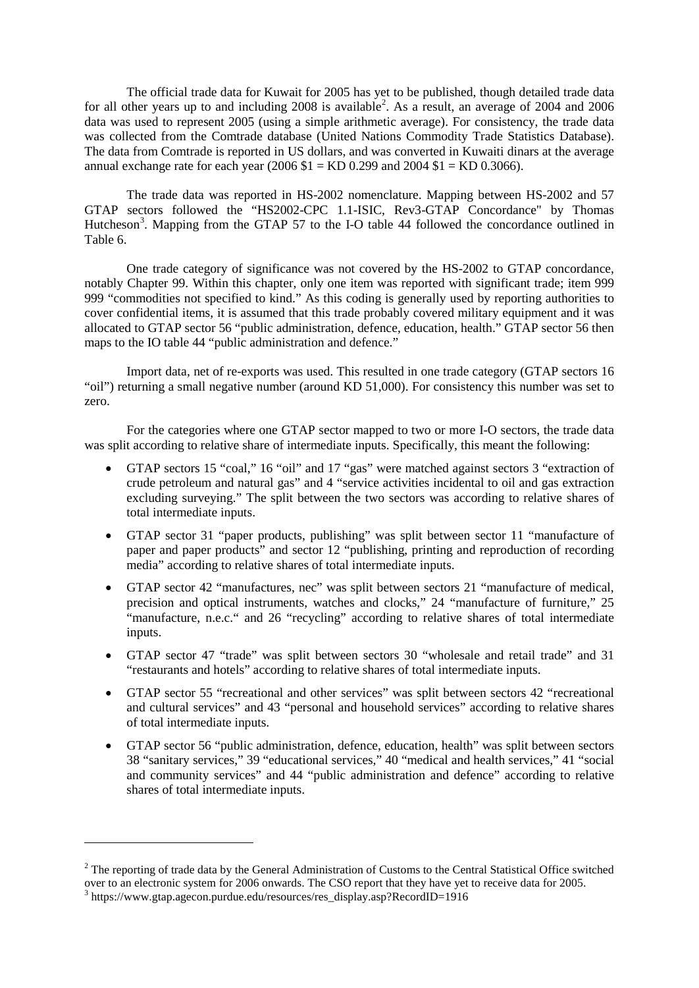The official trade data for Kuwait for 2005 has yet to be published, though detailed trade data for all other years up to and including [2](#page-4-0)008 is available<sup>2</sup>. As a result, an average of 2004 and 2006 data was used to represent 2005 (using a simple arithmetic average). For consistency, the trade data was collected from the Comtrade database (United Nations Commodity Trade Statistics Database). The data from Comtrade is reported in US dollars, and was converted in Kuwaiti dinars at the average annual exchange rate for each year (2006  $$1 = KD 0.299$  and 2004  $$1 = KD 0.3066$ ).

The trade data was reported in HS-2002 nomenclature. Mapping between HS-2002 and 57 GTAP sectors followed the "HS2002-CPC 1.1-ISIC, Rev3-GTAP Concordance" by Thomas Hutcheson<sup>[3](#page-4-1)</sup>. Mapping from the GTAP 57 to the I-O table 44 followed the concordance outlined in [Table 6.](#page-12-0)

One trade category of significance was not covered by the HS-2002 to GTAP concordance, notably Chapter 99. Within this chapter, only one item was reported with significant trade; item 999 999 "commodities not specified to kind." As this coding is generally used by reporting authorities to cover confidential items, it is assumed that this trade probably covered military equipment and it was allocated to GTAP sector 56 "public administration, defence, education, health." GTAP sector 56 then maps to the IO table 44 "public administration and defence."

Import data, net of re-exports was used. This resulted in one trade category (GTAP sectors 16 "oil") returning a small negative number (around KD 51,000). For consistency this number was set to zero.

For the categories where one GTAP sector mapped to two or more I-O sectors, the trade data was split according to relative share of intermediate inputs. Specifically, this meant the following:

- GTAP sectors 15 "coal," 16 "oil" and 17 "gas" were matched against sectors 3 "extraction of crude petroleum and natural gas" and 4 "service activities incidental to oil and gas extraction excluding surveying." The split between the two sectors was according to relative shares of total intermediate inputs.
- GTAP sector 31 "paper products, publishing" was split between sector 11 "manufacture of paper and paper products" and sector 12 "publishing, printing and reproduction of recording media" according to relative shares of total intermediate inputs.
- GTAP sector 42 "manufactures, nec" was split between sectors 21 "manufacture of medical, precision and optical instruments, watches and clocks," 24 "manufacture of furniture," 25 "manufacture, n.e.c." and 26 "recycling" according to relative shares of total intermediate inputs.
- GTAP sector 47 "trade" was split between sectors 30 "wholesale and retail trade" and 31 "restaurants and hotels" according to relative shares of total intermediate inputs.
- GTAP sector 55 "recreational and other services" was split between sectors 42 "recreational and cultural services" and 43 "personal and household services" according to relative shares of total intermediate inputs.
- GTAP sector 56 "public administration, defence, education, health" was split between sectors 38 "sanitary services," 39 "educational services," 40 "medical and health services," 41 "social and community services" and 44 "public administration and defence" according to relative shares of total intermediate inputs.

<u>.</u>

<span id="page-4-0"></span> $2^2$  The reporting of trade data by the General Administration of Customs to the Central Statistical Office switched over to an electronic system for 2006 onwards. The CSO report that they have yet to receive data for 20

<span id="page-4-1"></span><sup>&</sup>lt;sup>3</sup> https://www.gtap.agecon.purdue.edu/resources/res\_display.asp?RecordID=1916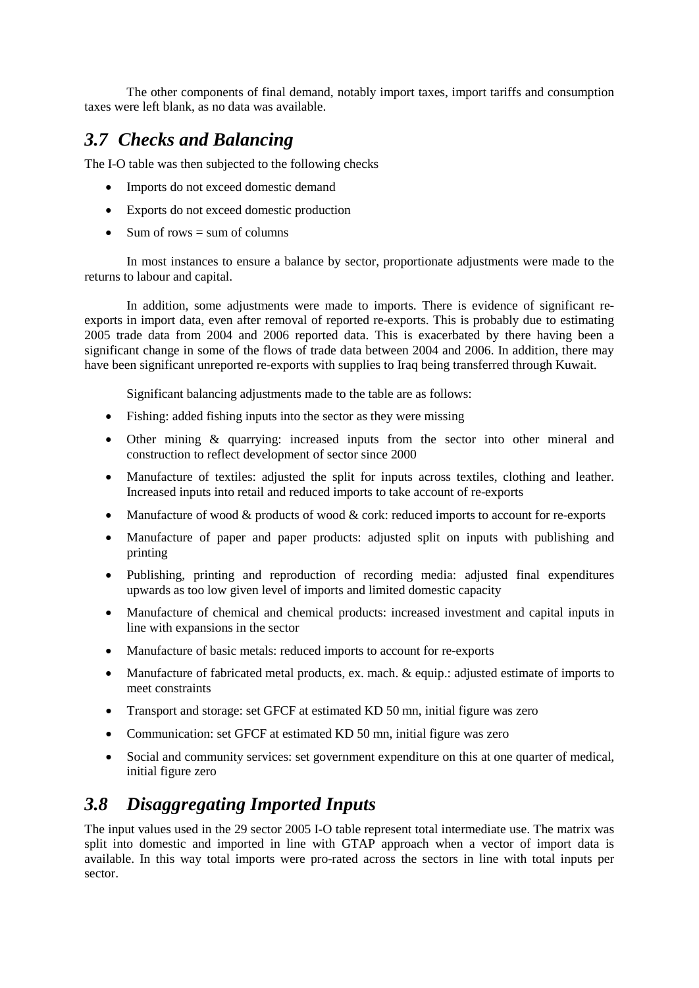The other components of final demand, notably import taxes, import tariffs and consumption taxes were left blank, as no data was available.

### *3.7 Checks and Balancing*

The I-O table was then subjected to the following checks

- Imports do not exceed domestic demand
- Exports do not exceed domestic production
- Sum of rows  $=$  sum of columns

In most instances to ensure a balance by sector, proportionate adjustments were made to the returns to labour and capital.

In addition, some adjustments were made to imports. There is evidence of significant reexports in import data, even after removal of reported re-exports. This is probably due to estimating 2005 trade data from 2004 and 2006 reported data. This is exacerbated by there having been a significant change in some of the flows of trade data between 2004 and 2006. In addition, there may have been significant unreported re-exports with supplies to Iraq being transferred through Kuwait.

Significant balancing adjustments made to the table are as follows:

- Fishing: added fishing inputs into the sector as they were missing
- Other mining & quarrying: increased inputs from the sector into other mineral and construction to reflect development of sector since 2000
- Manufacture of textiles: adjusted the split for inputs across textiles, clothing and leather. Increased inputs into retail and reduced imports to take account of re-exports
- Manufacture of wood & products of wood & cork: reduced imports to account for re-exports
- Manufacture of paper and paper products: adjusted split on inputs with publishing and printing
- Publishing, printing and reproduction of recording media: adjusted final expenditures upwards as too low given level of imports and limited domestic capacity
- Manufacture of chemical and chemical products: increased investment and capital inputs in line with expansions in the sector
- Manufacture of basic metals: reduced imports to account for re-exports
- Manufacture of fabricated metal products, ex. mach. & equip.: adjusted estimate of imports to meet constraints
- Transport and storage: set GFCF at estimated KD 50 mn, initial figure was zero
- Communication: set GFCF at estimated KD 50 mn, initial figure was zero
- Social and community services: set government expenditure on this at one quarter of medical, initial figure zero

### *3.8 Disaggregating Imported Inputs*

The input values used in the 29 sector 2005 I-O table represent total intermediate use. The matrix was split into domestic and imported in line with GTAP approach when a vector of import data is available. In this way total imports were pro-rated across the sectors in line with total inputs per sector.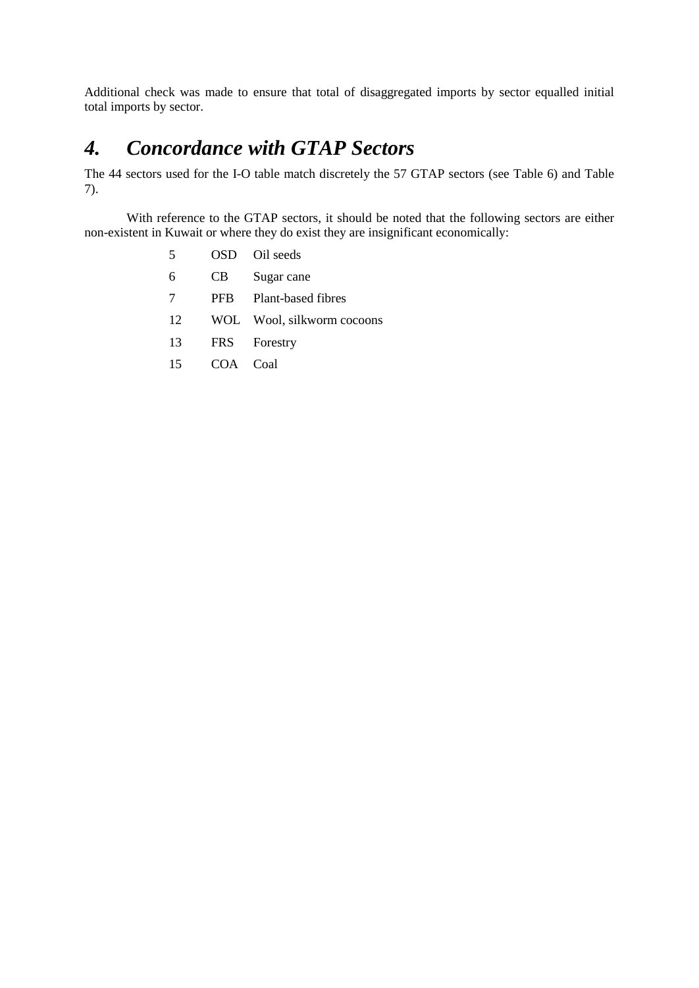Additional check was made to ensure that total of disaggregated imports by sector equalled initial total imports by sector.

# *4. Concordance with GTAP Sectors*

The 44 sectors used for the I-O table match discretely the 57 GTAP sectors (see [Table 6\)](#page-12-0) and [Table](#page-14-0)  [7\)](#page-14-0).

With reference to the GTAP sectors, it should be noted that the following sectors are either non-existent in Kuwait or where they do exist they are insignificant economically:

- 5 OSD Oil seeds
- 6 CB Sugar cane
- 7 PFB Plant-based fibres
- 12 WOL Wool, silkworm cocoons
- 13 FRS Forestry
- 15 COA Coal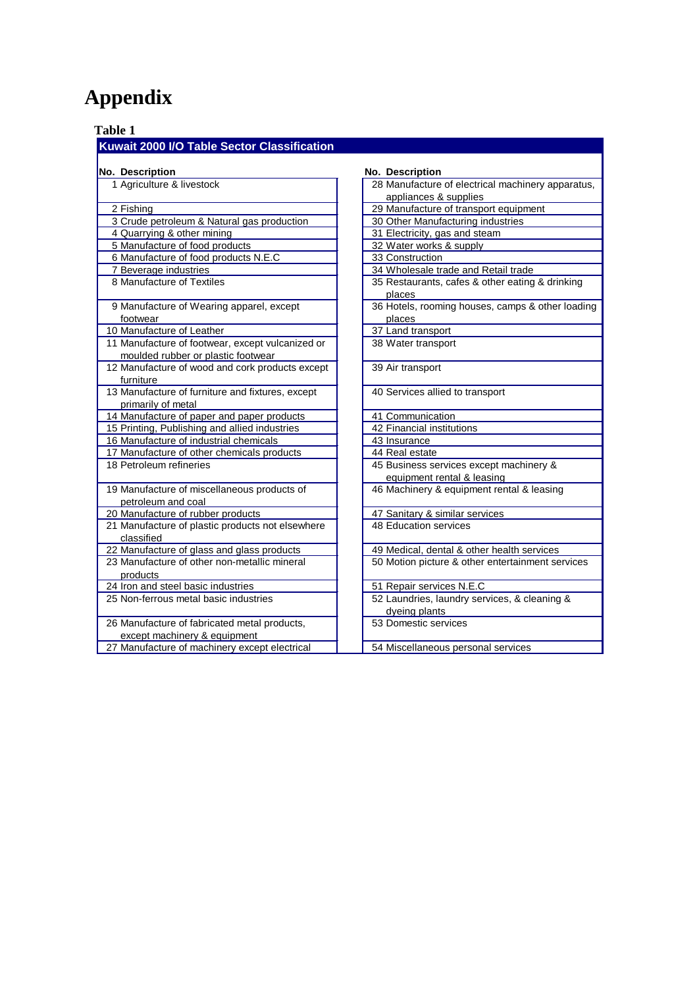# **Appendix**

<span id="page-7-0"></span> **Table 1**

#### **Kuwait 2000 I/O Table Sector Classification**

| No. Description                                                                        | No. Description                                                       |
|----------------------------------------------------------------------------------------|-----------------------------------------------------------------------|
| 1 Agriculture & livestock                                                              | 28 Manufacture of electrical machinery apparatus,                     |
|                                                                                        | appliances & supplies                                                 |
| 2 Fishing                                                                              | 29 Manufacture of transport equipment                                 |
| 3 Crude petroleum & Natural gas production                                             | 30 Other Manufacturing industries                                     |
| 4 Quarrying & other mining                                                             | 31 Electricity, gas and steam                                         |
| 5 Manufacture of food products                                                         | 32 Water works & supply                                               |
| 6 Manufacture of food products N.E.C                                                   | 33 Construction                                                       |
| 7 Beverage industries                                                                  | 34 Wholesale trade and Retail trade                                   |
| 8 Manufacture of Textiles                                                              | 35 Restaurants, cafes & other eating & drinking<br>places             |
| 9 Manufacture of Wearing apparel, except<br>footwear                                   | 36 Hotels, rooming houses, camps & other loading<br>places            |
| 10 Manufacture of Leather                                                              | 37 Land transport                                                     |
| 11 Manufacture of footwear, except vulcanized or<br>moulded rubber or plastic footwear | 38 Water transport                                                    |
| 12 Manufacture of wood and cork products except<br>furniture                           | 39 Air transport                                                      |
| 13 Manufacture of furniture and fixtures, except<br>primarily of metal                 | 40 Services allied to transport                                       |
| 14 Manufacture of paper and paper products                                             | 41 Communication                                                      |
| 15 Printing, Publishing and allied industries                                          | 42 Financial institutions                                             |
| 16 Manufacture of industrial chemicals                                                 | 43 Insurance                                                          |
| 17 Manufacture of other chemicals products                                             | 44 Real estate                                                        |
| 18 Petroleum refineries                                                                | 45 Business services except machinery &<br>equipment rental & leasing |
| 19 Manufacture of miscellaneous products of<br>petroleum and coal                      | 46 Machinery & equipment rental & leasing                             |
| 20 Manufacture of rubber products                                                      | 47 Sanitary & similar services                                        |
| 21 Manufacture of plastic products not elsewhere<br>classified                         | 48 Education services                                                 |
| 22 Manufacture of glass and glass products                                             | 49 Medical, dental & other health services                            |
| 23 Manufacture of other non-metallic mineral<br>products                               | 50 Motion picture & other entertainment services                      |
| 24 Iron and steel basic industries                                                     | 51 Repair services N.E.C                                              |
| 25 Non-ferrous metal basic industries                                                  | 52 Laundries, laundry services, & cleaning &<br>dyeing plants         |
| 26 Manufacture of fabricated metal products,<br>except machinery & equipment           | 53 Domestic services                                                  |
| 27 Manufacture of machinery except electrical                                          | 54 Miscellaneous personal services                                    |
|                                                                                        |                                                                       |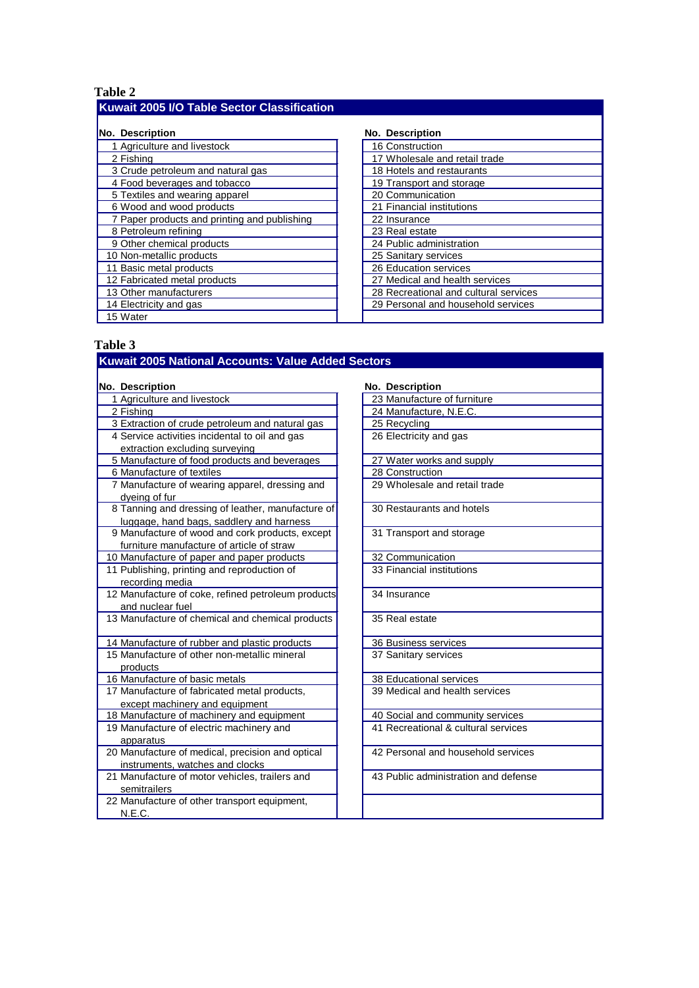#### <span id="page-8-0"></span> **Table 2 Kuwait 2005 I/O Table Sector Classification**

| No. Description                              | <b>No. Description</b>                |
|----------------------------------------------|---------------------------------------|
| 1 Agriculture and livestock                  | 16 Construction                       |
| 2 Fishing                                    | 17 Wholesale and retail trade         |
| 3 Crude petroleum and natural gas            | 18 Hotels and restaurants             |
| 4 Food beverages and tobacco                 | 19 Transport and storage              |
| 5 Textiles and wearing apparel               | 20 Communication                      |
| 6 Wood and wood products                     | 21 Financial institutions             |
| 7 Paper products and printing and publishing | 22 Insurance                          |
| 8 Petroleum refining                         | 23 Real estate                        |
| 9 Other chemical products                    | 24 Public administration              |
| 10 Non-metallic products                     | 25 Sanitary services                  |
| 11 Basic metal products                      | 26 Education services                 |
| 12 Fabricated metal products                 | 27 Medical and health services        |
| 13 Other manufacturers                       | 28 Recreational and cultural services |
| 14 Electricity and gas                       | 29 Personal and household services    |
| 15 Water                                     |                                       |

#### **No. Description No. Description**

| 16 Construction                       |
|---------------------------------------|
| 17 Wholesale and retail trade         |
| 18 Hotels and restaurants             |
| 19 Transport and storage              |
| 20 Communication                      |
| 21 Financial institutions             |
| 22 Insurance                          |
| 23 Real estate                        |
| 24 Public administration              |
| 25 Sanitary services                  |
| 26 Education services                 |
| 27 Medical and health services        |
| 28 Recreational and cultural services |
| 29 Personal and household services    |
|                                       |

#### <span id="page-8-1"></span> **Table 3**

| Kuwait 2005 National Accounts: Value Added Sectors |                                      |
|----------------------------------------------------|--------------------------------------|
|                                                    |                                      |
| No. Description                                    | No. Description                      |
| 1 Agriculture and livestock                        | 23 Manufacture of furniture          |
| 2 Fishing                                          | 24 Manufacture, N.E.C.               |
| 3 Extraction of crude petroleum and natural gas    | 25 Recycling                         |
| 4 Service activities incidental to oil and gas     | 26 Electricity and gas               |
| extraction excluding surveying                     |                                      |
| 5 Manufacture of food products and beverages       | 27 Water works and supply            |
| 6 Manufacture of textiles                          | 28 Construction                      |
| 7 Manufacture of wearing apparel, dressing and     | 29 Wholesale and retail trade        |
| dyeing of fur                                      |                                      |
| 8 Tanning and dressing of leather, manufacture of  | 30 Restaurants and hotels            |
| luggage, hand bags, saddlery and harness           |                                      |
| 9 Manufacture of wood and cork products, except    | 31 Transport and storage             |
| furniture manufacture of article of straw          |                                      |
| 10 Manufacture of paper and paper products         | 32 Communication                     |
| 11 Publishing, printing and reproduction of        | 33 Financial institutions            |
| recording media                                    |                                      |
| 12 Manufacture of coke, refined petroleum products | 34 Insurance                         |
| and nuclear fuel                                   |                                      |
| 13 Manufacture of chemical and chemical products   | 35 Real estate                       |
|                                                    |                                      |
| 14 Manufacture of rubber and plastic products      | 36 Business services                 |
| 15 Manufacture of other non-metallic mineral       | 37 Sanitary services                 |
| products                                           |                                      |
| 16 Manufacture of basic metals                     | 38 Educational services              |
| 17 Manufacture of fabricated metal products,       | 39 Medical and health services       |
| except machinery and equipment                     |                                      |
| 18 Manufacture of machinery and equipment          | 40 Social and community services     |
| 19 Manufacture of electric machinery and           | 41 Recreational & cultural services  |
| apparatus                                          |                                      |
| 20 Manufacture of medical, precision and optical   | 42 Personal and household services   |
| instruments, watches and clocks                    |                                      |
| 21 Manufacture of motor vehicles, trailers and     | 43 Public administration and defense |
| semitrailers                                       |                                      |
| 22 Manufacture of other transport equipment,       |                                      |
| N.E.C.                                             |                                      |
|                                                    |                                      |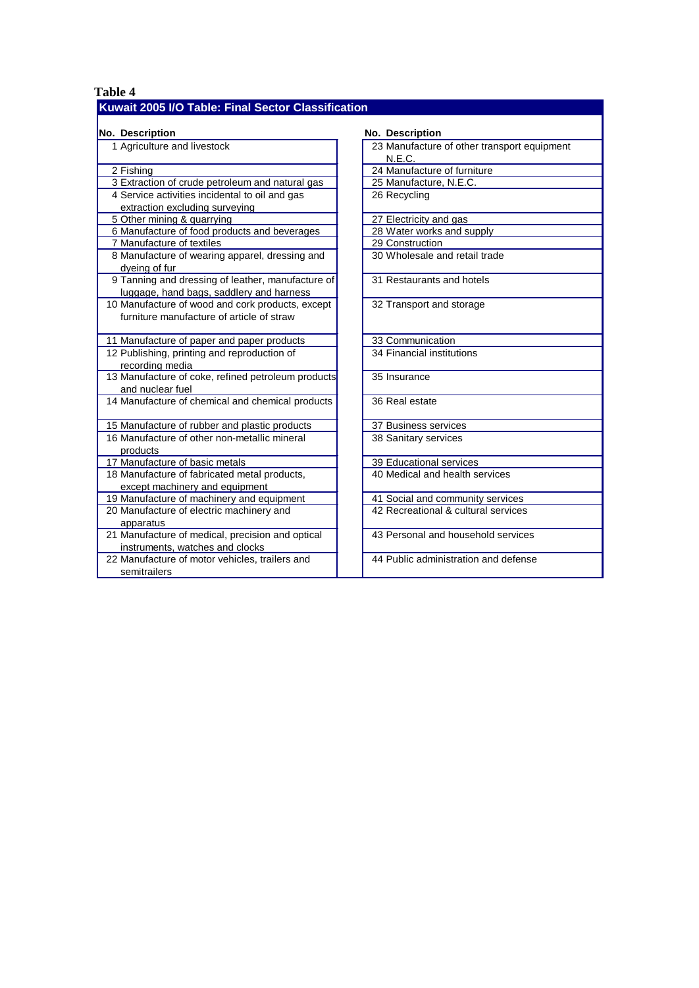#### **Table 4 Kuwait 2005 I/O Table: Final Sector Classification**

| No. Description                                                                               | No. Description                                       |
|-----------------------------------------------------------------------------------------------|-------------------------------------------------------|
| 1 Agriculture and livestock                                                                   | 23 Manufacture of other transport equipment<br>N.E.C. |
| 2 Fishing                                                                                     | 24 Manufacture of furniture                           |
| 3 Extraction of crude petroleum and natural gas                                               | 25 Manufacture, N.E.C.                                |
| 4 Service activities incidental to oil and gas<br>extraction excluding surveying              | 26 Recycling                                          |
| 5 Other mining & quarrying                                                                    | 27 Electricity and gas                                |
| 6 Manufacture of food products and beverages                                                  | 28 Water works and supply                             |
| 7 Manufacture of textiles                                                                     | 29 Construction                                       |
| 8 Manufacture of wearing apparel, dressing and<br>dyeing of fur                               | 30 Wholesale and retail trade                         |
| 9 Tanning and dressing of leather, manufacture of<br>luggage, hand bags, saddlery and harness | 31 Restaurants and hotels                             |
| 10 Manufacture of wood and cork products, except<br>furniture manufacture of article of straw | 32 Transport and storage                              |
| 11 Manufacture of paper and paper products                                                    | 33 Communication                                      |
| 12 Publishing, printing and reproduction of<br>recording media                                | 34 Financial institutions                             |
| 13 Manufacture of coke, refined petroleum products<br>and nuclear fuel                        | 35 Insurance                                          |
| 14 Manufacture of chemical and chemical products                                              | 36 Real estate                                        |
| 15 Manufacture of rubber and plastic products                                                 | 37 Business services                                  |
| 16 Manufacture of other non-metallic mineral<br>products                                      | 38 Sanitary services                                  |
| 17 Manufacture of basic metals                                                                | 39 Educational services                               |
| 18 Manufacture of fabricated metal products,<br>except machinery and equipment                | 40 Medical and health services                        |
| 19 Manufacture of machinery and equipment                                                     | 41 Social and community services                      |
| 20 Manufacture of electric machinery and<br>apparatus                                         | 42 Recreational & cultural services                   |
| 21 Manufacture of medical, precision and optical<br>instruments, watches and clocks           | 43 Personal and household services                    |
| 22 Manufacture of motor vehicles, trailers and<br>semitrailers                                | 44 Public administration and defense                  |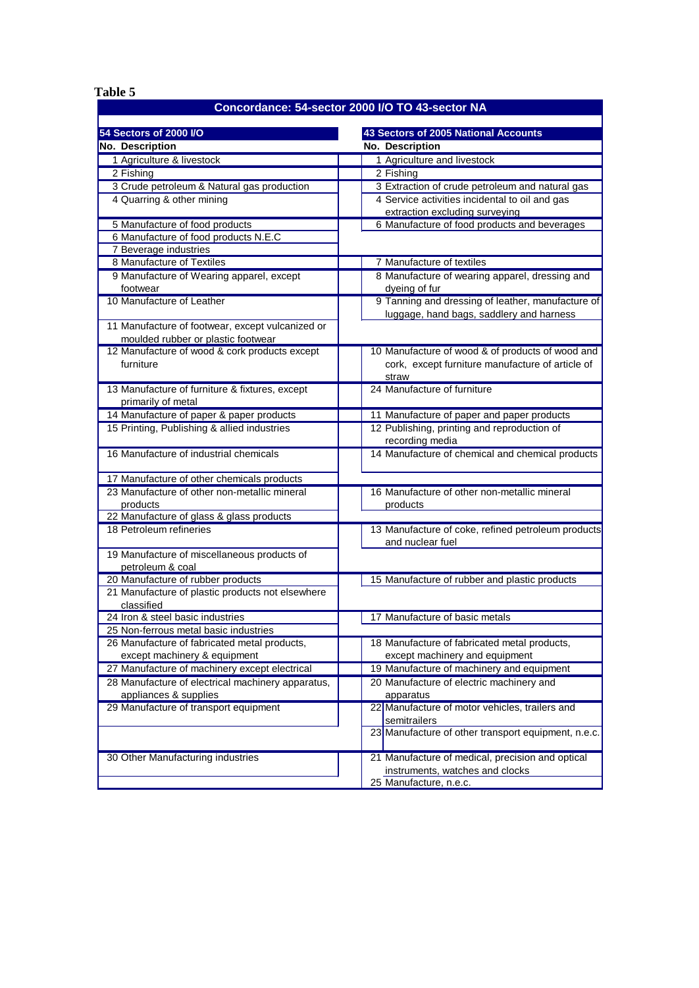<span id="page-10-0"></span> **Table 5**

#### **Concordance: 54-sector 2000 I/O TO 43-sector NA**

| 54 Sectors of 2000 I/O                                                  | 43 Sectors of 2005 National Accounts                                             |  |  |
|-------------------------------------------------------------------------|----------------------------------------------------------------------------------|--|--|
| No. Description                                                         | No. Description                                                                  |  |  |
| 1 Agriculture & livestock                                               | 1 Agriculture and livestock                                                      |  |  |
|                                                                         |                                                                                  |  |  |
| 2 Fishing                                                               | 2 Fishing                                                                        |  |  |
| 3 Crude petroleum & Natural gas production<br>4 Quarring & other mining | 3 Extraction of crude petroleum and natural gas                                  |  |  |
|                                                                         | 4 Service activities incidental to oil and gas<br>extraction excluding surveying |  |  |
| 5 Manufacture of food products                                          | 6 Manufacture of food products and beverages                                     |  |  |
| 6 Manufacture of food products N.E.C                                    |                                                                                  |  |  |
| 7 Beverage industries                                                   |                                                                                  |  |  |
| 8 Manufacture of Textiles                                               | 7 Manufacture of textiles                                                        |  |  |
| 9 Manufacture of Wearing apparel, except                                | 8 Manufacture of wearing apparel, dressing and                                   |  |  |
| footwear                                                                | dyeing of fur                                                                    |  |  |
| 10 Manufacture of Leather                                               | 9 Tanning and dressing of leather, manufacture of                                |  |  |
|                                                                         | luggage, hand bags, saddlery and harness                                         |  |  |
| 11 Manufacture of footwear, except vulcanized or                        |                                                                                  |  |  |
| moulded rubber or plastic footwear                                      |                                                                                  |  |  |
| 12 Manufacture of wood & cork products except                           | 10 Manufacture of wood & of products of wood and                                 |  |  |
| furniture                                                               | cork, except furniture manufacture of article of                                 |  |  |
|                                                                         | straw                                                                            |  |  |
| 13 Manufacture of furniture & fixtures, except                          | 24 Manufacture of furniture                                                      |  |  |
| primarily of metal                                                      |                                                                                  |  |  |
| 14 Manufacture of paper & paper products                                | 11 Manufacture of paper and paper products                                       |  |  |
| 15 Printing, Publishing & allied industries                             | 12 Publishing, printing and reproduction of                                      |  |  |
|                                                                         | recording media                                                                  |  |  |
| 16 Manufacture of industrial chemicals                                  | 14 Manufacture of chemical and chemical products                                 |  |  |
|                                                                         |                                                                                  |  |  |
| 17 Manufacture of other chemicals products                              |                                                                                  |  |  |
| 23 Manufacture of other non-metallic mineral                            | 16 Manufacture of other non-metallic mineral                                     |  |  |
| products<br>22 Manufacture of glass & glass products                    | products                                                                         |  |  |
| 18 Petroleum refineries                                                 | 13 Manufacture of coke, refined petroleum products                               |  |  |
|                                                                         | and nuclear fuel                                                                 |  |  |
| 19 Manufacture of miscellaneous products of                             |                                                                                  |  |  |
| petroleum & coal                                                        |                                                                                  |  |  |
| 20 Manufacture of rubber products                                       | 15 Manufacture of rubber and plastic products                                    |  |  |
| 21 Manufacture of plastic products not elsewhere                        |                                                                                  |  |  |
| classified                                                              |                                                                                  |  |  |
| 24 Iron & steel basic industries                                        | 17 Manufacture of basic metals                                                   |  |  |
| 25 Non-ferrous metal basic industries                                   |                                                                                  |  |  |
| 26 Manufacture of fabricated metal products,                            | 18 Manufacture of fabricated metal products,                                     |  |  |
| except machinery & equipment                                            | except machinery and equipment                                                   |  |  |
| 27 Manufacture of machinery except electrical                           | 19 Manufacture of machinery and equipment                                        |  |  |
| 28 Manufacture of electrical machinery apparatus,                       | 20 Manufacture of electric machinery and                                         |  |  |
| appliances & supplies                                                   | apparatus                                                                        |  |  |
| 29 Manufacture of transport equipment                                   | 22 Manufacture of motor vehicles, trailers and                                   |  |  |
|                                                                         | semitrailers                                                                     |  |  |
|                                                                         | 23 Manufacture of other transport equipment, n.e.c.                              |  |  |
|                                                                         |                                                                                  |  |  |
| 30 Other Manufacturing industries                                       | 21 Manufacture of medical, precision and optical                                 |  |  |
|                                                                         | instruments, watches and clocks                                                  |  |  |
|                                                                         | 25 Manufacture, n.e.c.                                                           |  |  |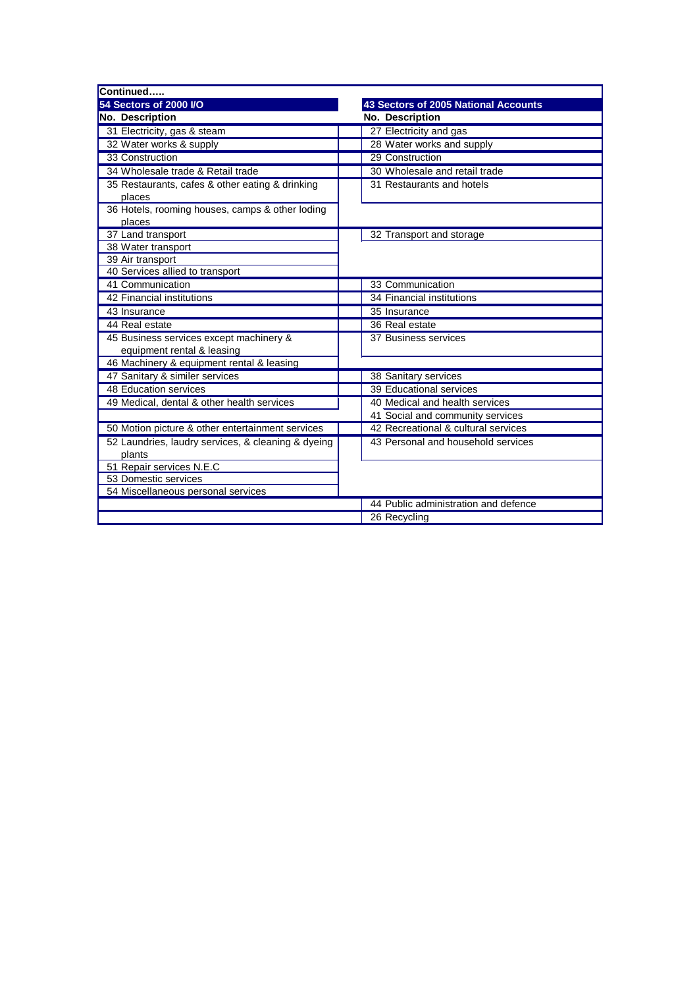| Continued                                          |                                      |
|----------------------------------------------------|--------------------------------------|
| 54 Sectors of 2000 I/O                             | 43 Sectors of 2005 National Accounts |
| No. Description                                    | No. Description                      |
| 31 Electricity, gas & steam                        | 27 Electricity and gas               |
| 32 Water works & supply                            | 28 Water works and supply            |
| 33 Construction                                    | 29 Construction                      |
| 34 Wholesale trade & Retail trade                  | 30 Wholesale and retail trade        |
| 35 Restaurants, cafes & other eating & drinking    | 31 Restaurants and hotels            |
| places                                             |                                      |
| 36 Hotels, rooming houses, camps & other loding    |                                      |
| places                                             |                                      |
| 37 Land transport                                  | 32 Transport and storage             |
| 38 Water transport                                 |                                      |
| 39 Air transport                                   |                                      |
| 40 Services allied to transport                    |                                      |
| 41 Communication                                   | 33 Communication                     |
| 42 Financial institutions                          | 34 Financial institutions            |
| 43 Insurance                                       | 35 Insurance                         |
| 44 Real estate                                     | 36 Real estate                       |
| 45 Business services except machinery &            | 37 Business services                 |
| equipment rental & leasing                         |                                      |
| 46 Machinery & equipment rental & leasing          |                                      |
| 47 Sanitary & similer services                     | 38 Sanitary services                 |
| 48 Education services                              | 39 Educational services              |
| 49 Medical, dental & other health services         | 40 Medical and health services       |
|                                                    | 41 Social and community services     |
| 50 Motion picture & other entertainment services   | 42 Recreational & cultural services  |
| 52 Laundries, laudry services, & cleaning & dyeing | 43 Personal and household services   |
| plants                                             |                                      |
| 51 Repair services N.E.C                           |                                      |
| 53 Domestic services                               |                                      |
| 54 Miscellaneous personal services                 |                                      |
|                                                    | 44 Public administration and defence |
|                                                    | 26 Recycling                         |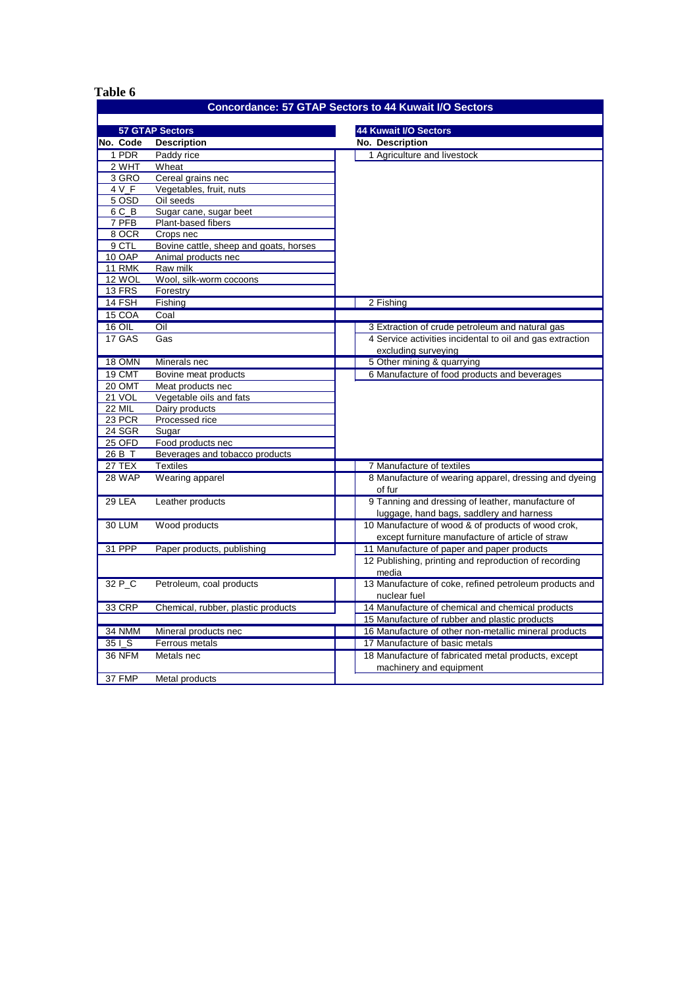<span id="page-12-0"></span>

| Table 6       |                                        |                                                              |
|---------------|----------------------------------------|--------------------------------------------------------------|
|               |                                        | <b>Concordance: 57 GTAP Sectors to 44 Kuwait I/O Sectors</b> |
|               |                                        |                                                              |
|               | <b>57 GTAP Sectors</b>                 | 44 Kuwait I/O Sectors                                        |
| No. Code      | <b>Description</b>                     | <b>No. Description</b>                                       |
| 1 PDR         | Paddy rice                             | 1 Agriculture and livestock                                  |
| 2 WHT         | Wheat                                  |                                                              |
| 3 GRO         | Cereal grains nec                      |                                                              |
| 4 V F         | Vegetables, fruit, nuts                |                                                              |
| 5 OSD         | Oil seeds                              |                                                              |
| 6 C B         | Sugar cane, sugar beet                 |                                                              |
| 7 PFB         | Plant-based fibers                     |                                                              |
| 8 OCR         | Crops nec                              |                                                              |
| 9 CTL         | Bovine cattle, sheep and goats, horses |                                                              |
| 10 OAP        | Animal products nec                    |                                                              |
| 11 RMK        | Raw milk                               |                                                              |
| 12 WOL        | Wool, silk-worm cocoons                |                                                              |
| <b>13 FRS</b> | Forestry                               |                                                              |
| 14 FSH        | Fishing                                | 2 Fishing                                                    |
| 15 COA        | Coal                                   |                                                              |
| <b>16 OIL</b> | $\overline{\text{Oil}}$                | 3 Extraction of crude petroleum and natural gas              |
| 17 GAS        | Gas                                    | 4 Service activities incidental to oil and gas extraction    |
|               |                                        | excluding surveying                                          |
| 18 OMN        | Minerals nec                           | 5 Other mining & quarrying                                   |
| 19 CMT        | Bovine meat products                   | 6 Manufacture of food products and beverages                 |
| 20 OMT        | Meat products nec                      |                                                              |
| 21 VOL        | Vegetable oils and fats                |                                                              |
| <b>22 MIL</b> | Dairy products                         |                                                              |
| 23 PCR        | Processed rice                         |                                                              |
| 24 SGR        |                                        |                                                              |
| 25 OFD        | Sugar<br>Food products nec             |                                                              |
|               |                                        |                                                              |
| 26 B_T        | Beverages and tobacco products         |                                                              |
| 27 TEX        | <b>Textiles</b>                        | 7 Manufacture of textiles                                    |
| 28 WAP        | Wearing apparel                        | 8 Manufacture of wearing apparel, dressing and dyeing        |
|               |                                        | of fur                                                       |
| $29$ LEA      | Leather products                       | 9 Tanning and dressing of leather, manufacture of            |
|               |                                        | luggage, hand bags, saddlery and harness                     |
| 30 LUM        | Wood products                          | 10 Manufacture of wood & of products of wood crok,           |
|               |                                        | except furniture manufacture of article of straw             |
| 31 PPP        | Paper products, publishing             | 11 Manufacture of paper and paper products                   |
|               |                                        | 12 Publishing, printing and reproduction of recording        |
|               |                                        | media                                                        |
| 32 P_C        | Petroleum, coal products               | 13 Manufacture of coke, refined petroleum products and       |
|               |                                        | nuclear fuel                                                 |
| 33 CRP        | Chemical, rubber, plastic products     | 14 Manufacture of chemical and chemical products             |
|               |                                        | 15 Manufacture of rubber and plastic products                |
| 34 NMM        | Mineral products nec                   | 16 Manufacture of other non-metallic mineral products        |
| 35 I S        | Ferrous metals                         | 17 Manufacture of basic metals                               |
| <b>36 NFM</b> | Metals nec                             | 18 Manufacture of fabricated metal products, except          |
|               |                                        | machinery and equipment                                      |
| 37 FMP        | Metal products                         |                                                              |
|               |                                        |                                                              |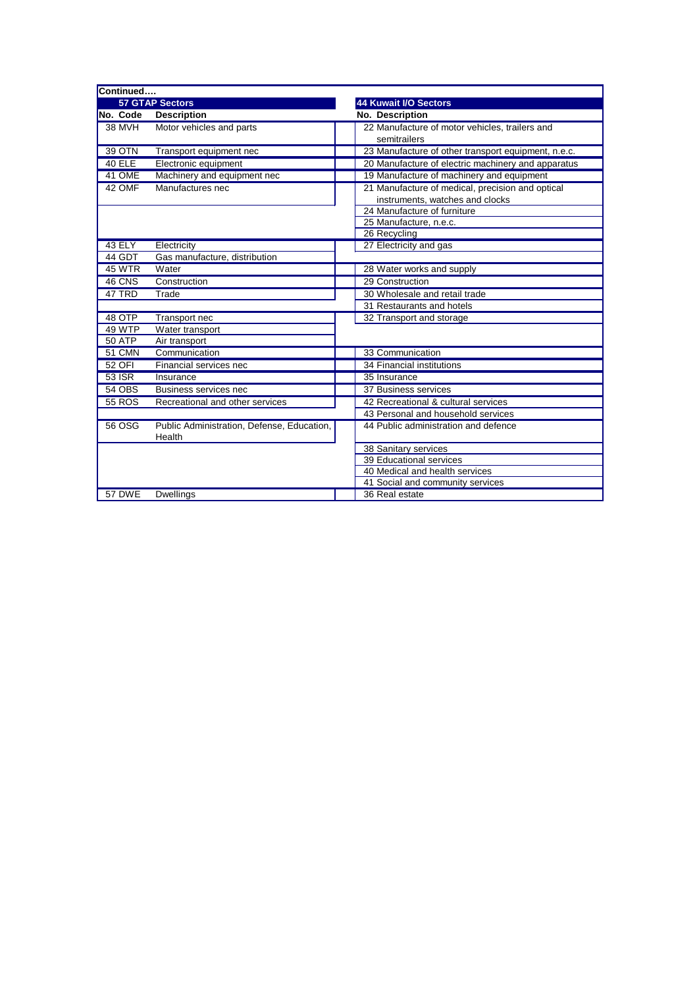| Continued     |                                            |                                                     |
|---------------|--------------------------------------------|-----------------------------------------------------|
|               | <b>57 GTAP Sectors</b>                     | <b>44 Kuwait I/O Sectors</b>                        |
| No. Code      | <b>Description</b>                         | No. Description                                     |
| <b>38 MVH</b> | Motor vehicles and parts                   | 22 Manufacture of motor vehicles, trailers and      |
|               |                                            | semitrailers                                        |
| <b>39 OTN</b> | Transport equipment nec                    | 23 Manufacture of other transport equipment, n.e.c. |
| $40$ ELE      | Electronic equipment                       | 20 Manufacture of electric machinery and apparatus  |
| 41 OME        | Machinery and equipment nec                | 19 Manufacture of machinery and equipment           |
| 42 OMF        | Manufactures nec                           | 21 Manufacture of medical, precision and optical    |
|               |                                            | instruments, watches and clocks                     |
|               |                                            | 24 Manufacture of furniture                         |
|               |                                            | 25 Manufacture, n.e.c.                              |
|               |                                            | 26 Recycling                                        |
| 43 ELY        | Electricity                                | 27 Electricity and gas                              |
| 44 GDT        | Gas manufacture, distribution              |                                                     |
| <b>45 WTR</b> | Water                                      | 28 Water works and supply                           |
| 46 CNS        | Construction                               | 29 Construction                                     |
| 47 TRD        | Trade                                      | 30 Wholesale and retail trade                       |
|               |                                            | 31 Restaurants and hotels                           |
| 48 OTP        | Transport nec                              | 32 Transport and storage                            |
| 49 WTP        | Water transport                            |                                                     |
| <b>50 ATP</b> | Air transport                              |                                                     |
| 51 CMN        | Communication                              | 33 Communication                                    |
| 52 OFI        | Financial services nec                     | 34 Financial institutions                           |
| 53 ISR        | Insurance                                  | 35 Insurance                                        |
| <b>54 OBS</b> | Business services nec                      | 37 Business services                                |
| <b>55 ROS</b> | Recreational and other services            | 42 Recreational & cultural services                 |
|               |                                            | 43 Personal and household services                  |
| 56 OSG        | Public Administration, Defense, Education, | 44 Public administration and defence                |
|               | Health                                     |                                                     |
|               |                                            | 38 Sanitary services                                |
|               |                                            | 39 Educational services                             |
|               |                                            | 40 Medical and health services                      |
|               |                                            | 41 Social and community services                    |
| <b>57 DWE</b> | <b>Dwellings</b>                           | 36 Real estate                                      |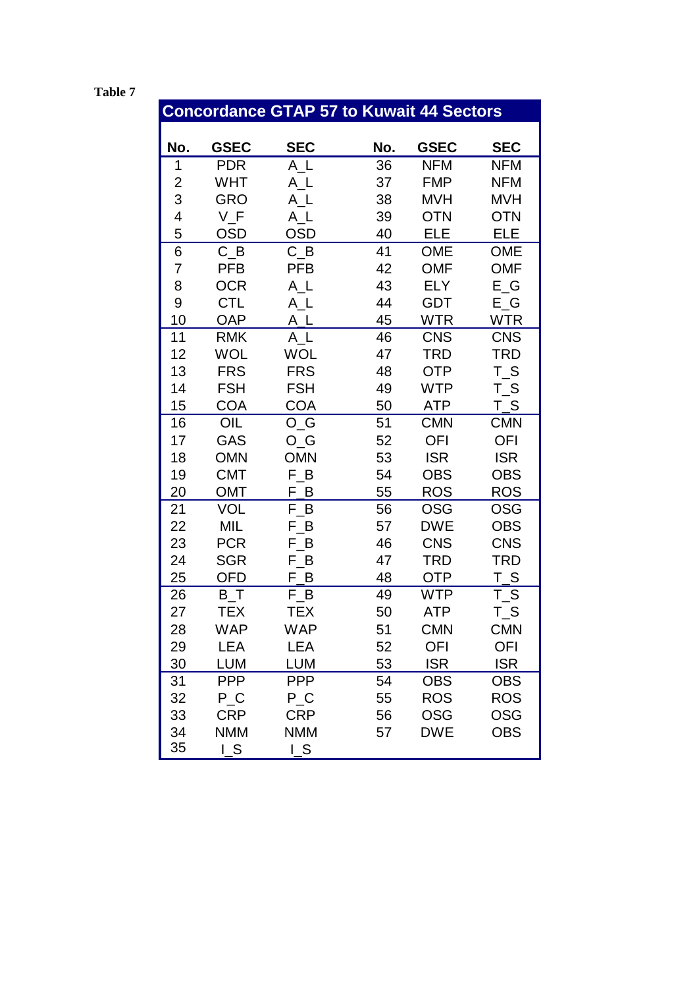<span id="page-14-0"></span> **Table 7**

# **Concordance GTAP 57 to Kuwait 44 Sectors**

| No. | <b>GSEC</b>                   | <b>SEC</b> | No. | <b>GSEC</b> | <b>SEC</b> |
|-----|-------------------------------|------------|-----|-------------|------------|
| 1   | <b>PDR</b>                    | A L        | 36  | <b>NFM</b>  | NFM        |
| 2   | WHT                           | A_L        | 37  | <b>FMP</b>  | NFM        |
| 3   | <b>GRO</b>                    | $A_L$      | 38  | <b>MVH</b>  | <b>MVH</b> |
| 4   | $V_F$                         | $A_L$      | 39  | <b>OTN</b>  | <b>OTN</b> |
| 5   | <b>OSD</b>                    | <b>OSD</b> | 40  | <b>ELE</b>  | <b>ELE</b> |
| 6   | $C$ <sub><math>B</math></sub> | $C_B$      | 41  | <b>OME</b>  | <b>OME</b> |
| 7   | <b>PFB</b>                    | <b>PFB</b> | 42  | <b>OMF</b>  | <b>OMF</b> |
| 8   | <b>OCR</b>                    | $A_L$      | 43  | <b>ELY</b>  | $E_G$      |
| 9   | <b>CTL</b>                    | A_L        | 44  | <b>GDT</b>  | $E_G$      |
| 10  | <b>OAP</b>                    | $A_L$      | 45  | <b>WTR</b>  | <b>WTR</b> |
| 11  | <b>RMK</b>                    | A L        | 46  | <b>CNS</b>  | <b>CNS</b> |
| 12  | WOL                           | <b>WOL</b> | 47  | TRD         | TRD        |
| 13  | <b>FRS</b>                    | <b>FRS</b> | 48  | <b>OTP</b>  | $T_S$      |
| 14  | <b>FSH</b>                    | <b>FSH</b> | 49  | <b>WTP</b>  | $T_S$      |
| 15  | <b>COA</b>                    | <b>COA</b> | 50  | ATP         | <u>T_S</u> |
| 16  | OIL                           | $O_G$      | 51  | <b>CMN</b>  | <b>CMN</b> |
| 17  | GAS                           | $O_G$      | 52  | <b>OFI</b>  | OFI        |
| 18  | <b>OMN</b>                    | <b>OMN</b> | 53  | <b>ISR</b>  | <b>ISR</b> |
| 19  | <b>CMT</b>                    | $F_B$      | 54  | <b>OBS</b>  | <b>OBS</b> |
| 20  | OMT                           | F<br>B     | 55  | <b>ROS</b>  | <b>ROS</b> |
| 21  | <b>VOL</b>                    | $F_B$      | 56  | OSG         | OSG        |
| 22  | MIL                           | F_B        | 57  | <b>DWE</b>  | <b>OBS</b> |
| 23  | <b>PCR</b>                    | $F\_B$     | 46  | <b>CNS</b>  | <b>CNS</b> |
| 24  | <b>SGR</b>                    | F B        | 47  | TRD         | TRD        |
| 25  | <b>OFD</b>                    | B<br>F     | 48  | <b>OTP</b>  | $T_S$      |
| 26  | $B_T$                         | $F_B$      | 49  | WTP         | $T_S$      |
| 27  | TEX                           | <b>TEX</b> | 50  | ATP         | $T_S$      |
| 28  | WAP                           | <b>WAP</b> | 51  | <b>CMN</b>  | <b>CMN</b> |
| 29  | LEA                           | LEA        | 52  | <b>OFI</b>  | OFI        |
| 30  | <b>LUM</b>                    | <b>LUM</b> | 53  | <b>ISR</b>  | <b>ISR</b> |
| 31  | <b>PPP</b>                    | <b>PPP</b> | 54  | <b>OBS</b>  | <b>OBS</b> |
| 32  | $P_{\_}C$                     | $P_C$      | 55  | <b>ROS</b>  | <b>ROS</b> |
| 33  | <b>CRP</b>                    | <b>CRP</b> | 56  | <b>OSG</b>  | <b>OSG</b> |
| 34  | <b>NMM</b>                    | <b>NMM</b> | 57  | <b>DWE</b>  | <b>OBS</b> |
| 35  | $L_S$                         | $L_S$      |     |             |            |